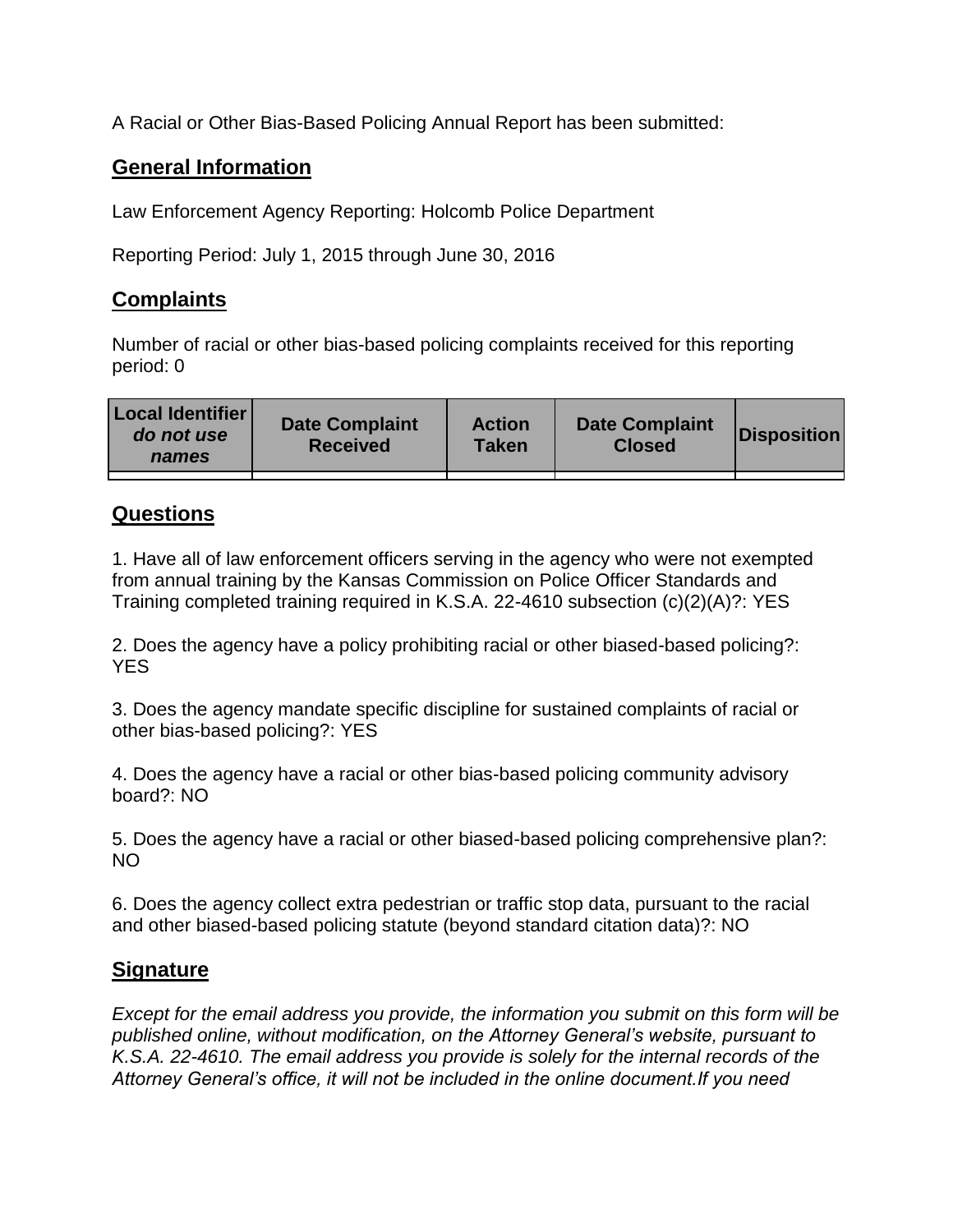A Racial or Other Bias-Based Policing Annual Report has been submitted:

## **General Information**

Law Enforcement Agency Reporting: Holcomb Police Department

Reporting Period: July 1, 2015 through June 30, 2016

## **Complaints**

Number of racial or other bias-based policing complaints received for this reporting period: 0

| <b>Local Identifier</b><br>do not use<br>names | <b>Date Complaint</b><br><b>Received</b> | <b>Action</b><br><b>Taken</b> | <b>Date Complaint</b><br><b>Closed</b> | Disposition |
|------------------------------------------------|------------------------------------------|-------------------------------|----------------------------------------|-------------|
|                                                |                                          |                               |                                        |             |

## **Questions**

1. Have all of law enforcement officers serving in the agency who were not exempted from annual training by the Kansas Commission on Police Officer Standards and Training completed training required in K.S.A. 22-4610 subsection (c)(2)(A)?: YES

2. Does the agency have a policy prohibiting racial or other biased-based policing?: YES

3. Does the agency mandate specific discipline for sustained complaints of racial or other bias-based policing?: YES

4. Does the agency have a racial or other bias-based policing community advisory board?: NO

5. Does the agency have a racial or other biased-based policing comprehensive plan?: NO

6. Does the agency collect extra pedestrian or traffic stop data, pursuant to the racial and other biased-based policing statute (beyond standard citation data)?: NO

## **Signature**

*Except for the email address you provide, the information you submit on this form will be published online, without modification, on the Attorney General's website, pursuant to K.S.A. 22-4610. The email address you provide is solely for the internal records of the Attorney General's office, it will not be included in the online document.If you need*